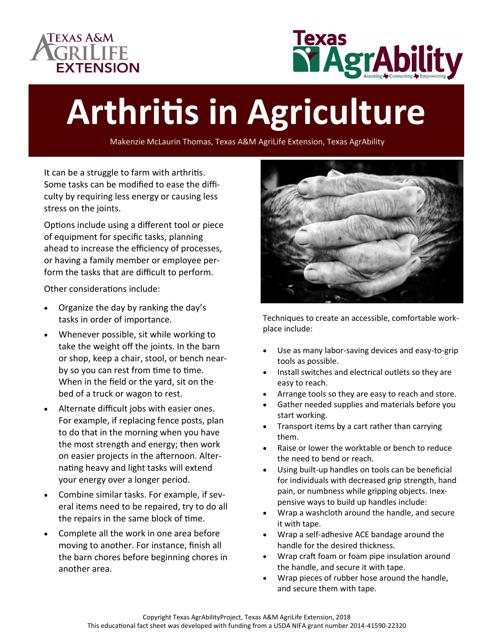



# **Arthritis in Agriculture**

Makenzie McLaurin Thomas, Texas A&M AgriLife Extension, Texas AgrAbility

It can be a struggle to farm with arthritis. Some tasks can be modified to ease the difficulty by requiring less energy or causing less stress on the joints.

Options include using a different tool or piece of equipment for specific tasks, planning ahead to increase the efficiency of processes, or having a family member or employee perform the tasks that are difficult to perform.

Other considerations include:

- Organize the day by ranking the day's tasks in order of importance.
- Whenever possible, sit while working to take the weight off the joints. In the barn or shop, keep a chair, stool, or bench nearby so you can rest from time to time. When in the field or the yard, sit on the bed of a truck or wagon to rest.
- Alternate difficult jobs with easier ones. For example, if replacing fence posts, plan to do that in the morning when you have the most strength and energy; then work on easier projects in the afternoon. Alternating heavy and light tasks will extend your energy over a longer period.
- Combine similar tasks. For example, if several items need to be repaired, try to do all the repairs in the same block of time.
- Complete all the work in one area before moving to another. For instance, finish all the barn chores before beginning chores in another area.



Techniques to create an accessible, comfortable workplace include:

- Use as many labor-saving devices and easy-to-grip tools as possible.
- Install switches and electrical outlets so they are easy to reach.
- Arrange tools so they are easy to reach and store.
- Gather needed supplies and materials before you start working.
- Transport items by a cart rather than carrying them.
- Raise or lower the worktable or bench to reduce the need to bend or reach.
- Using built-up handles on tools can be beneficial for individuals with decreased grip strength, hand pain, or numbness while gripping objects. Inexpensive ways to build up handles include:
- Wrap a washcloth around the handle, and secure it with tape.
- Wrap a self-adhesive ACE bandage around the handle for the desired thickness.
- Wrap craft foam or foam pipe insulation around the handle, and secure it with tape.
- Wrap pieces of rubber hose around the handle, and secure them with tape.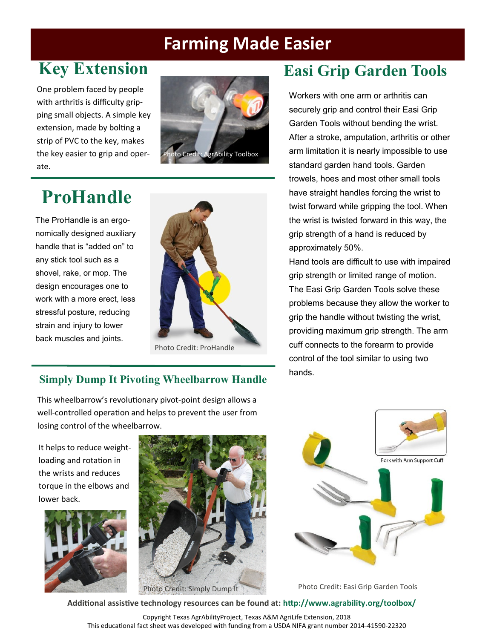## **Farming Made Easier**

One problem faced by people with arthritis is difficulty gripping small objects. A simple key extension, made by bolting a strip of PVC to the key, makes the key easier to grip and operate.



## **ProHandle**

The ProHandle is an ergonomically designed auxiliary handle that is "added on" to any stick tool such as a shovel, rake, or mop. The design encourages one to work with a more erect, less stressful posture, reducing strain and injury to lower back muscles and joints.



### **Simply Dump It Pivoting Wheelbarrow Handle**

This wheelbarrow's revolutionary pivot-point design allows a well-controlled operation and helps to prevent the user from losing control of the wheelbarrow.

### It helps to reduce weightloading and rotation in the wrists and reduces torque in the elbows and lower back.





## **Key Extension Easi Grip Garden Tools**

Workers with one arm or arthritis can securely grip and control their Easi Grip Garden Tools without bending the wrist. After a stroke, amputation, arthritis or other arm limitation it is nearly impossible to use standard garden hand tools. Garden trowels, hoes and most other small tools have straight handles forcing the wrist to twist forward while gripping the tool. When the wrist is twisted forward in this way, the grip strength of a hand is reduced by approximately 50%.

Hand tools are difficult to use with impaired grip strength or limited range of motion. The Easi Grip Garden Tools solve these problems because they allow the worker to grip the handle without twisting the wrist, providing maximum grip strength. The arm cuff connects to the forearm to provide control of the tool similar to using two hands.



Photo Credit: Easi Grip Garden Tools

**Additional assistive technology resources can be found at: http://www.agrability.org/toolbox/**

Copyright Texas AgrAbilityProject, Texas A&M AgriLife Extension, 2018 This educational fact sheet was developed with funding from a USDA NIFA grant number 2014-41590-22320